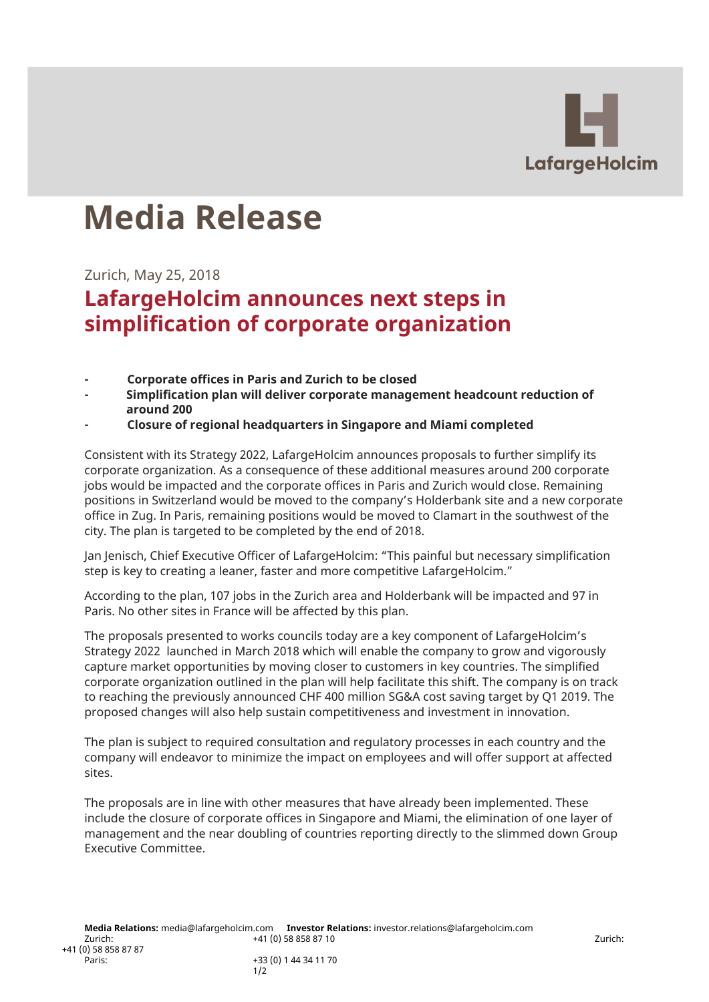

## **Media Release**

Zurich, May 25, 2018

## **LafargeHolcim announces next steps in simplification of corporate organization**

- **- Corporate offices in Paris and Zurich to be closed**
- **- Simplification plan will deliver corporate management headcount reduction of around 200**
- **- Closure of regional headquarters in Singapore and Miami completed**

Consistent with its Strategy 2022, LafargeHolcim announces proposals to further simplify its corporate organization. As a consequence of these additional measures around 200 corporate jobs would be impacted and the corporate offices in Paris and Zurich would close. Remaining positions in Switzerland would be moved to the company's Holderbank site and a new corporate office in Zug. In Paris, remaining positions would be moved to Clamart in the southwest of the city. The plan is targeted to be completed by the end of 2018.

Jan Jenisch, Chief Executive Officer of LafargeHolcim: "This painful but necessary simplification step is key to creating a leaner, faster and more competitive LafargeHolcim."

According to the plan, 107 jobs in the Zurich area and Holderbank will be impacted and 97 in Paris. No other sites in France will be affected by this plan.

The proposals presented to works councils today are a key component of LafargeHolcim's Strategy 2022 launched in March 2018 which will enable the company to grow and vigorously capture market opportunities by moving closer to customers in key countries. The simplified corporate organization outlined in the plan will help facilitate this shift. The company is on track to reaching the previously announced CHF 400 million SG&A cost saving target by Q1 2019. The proposed changes will also help sustain competitiveness and investment in innovation.

The plan is subject to required consultation and regulatory processes in each country and the company will endeavor to minimize the impact on employees and will offer support at affected sites.

The proposals are in line with other measures that have already been implemented. These include the closure of corporate offices in Singapore and Miami, the elimination of one layer of management and the near doubling of countries reporting directly to the slimmed down Group Executive Committee.